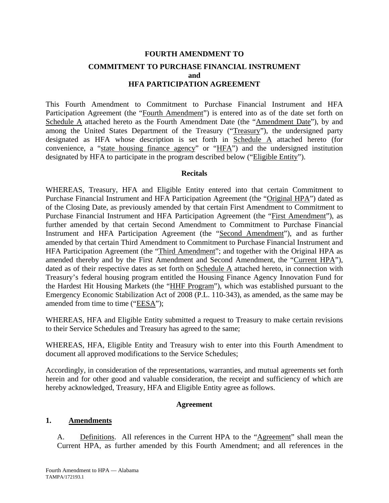# **FOURTH AMENDMENT TO COMMITMENT TO PURCHASE FINANCIAL INSTRUMENT and HFA PARTICIPATION AGREEMENT**

This Fourth Amendment to Commitment to Purchase Financial Instrument and HFA Participation Agreement (the "Fourth Amendment") is entered into as of the date set forth on Schedule A attached hereto as the Fourth Amendment Date (the "Amendment Date"), by and among the United States Department of the Treasury ("Treasury"), the undersigned party designated as HFA whose description is set forth in Schedule A attached hereto (for convenience, a "state housing finance agency" or "HFA") and the undersigned institution designated by HFA to participate in the program described below ("Eligible Entity").

## **Recitals**

WHEREAS, Treasury, HFA and Eligible Entity entered into that certain Commitment to Purchase Financial Instrument and HFA Participation Agreement (the "Original HPA") dated as of the Closing Date, as previously amended by that certain First Amendment to Commitment to Purchase Financial Instrument and HFA Participation Agreement (the "First Amendment"), as further amended by that certain Second Amendment to Commitment to Purchase Financial Instrument and HFA Participation Agreement (the "Second Amendment"), and as further amended by that certain Third Amendment to Commitment to Purchase Financial Instrument and HFA Participation Agreement (the "Third Amendment"; and together with the Original HPA as amended thereby and by the First Amendment and Second Amendment, the "Current HPA"), dated as of their respective dates as set forth on Schedule A attached hereto, in connection with Treasury's federal housing program entitled the Housing Finance Agency Innovation Fund for the Hardest Hit Housing Markets (the "HHF Program"), which was established pursuant to the Emergency Economic Stabilization Act of 2008 (P.L. 110-343), as amended, as the same may be amended from time to time ("EESA");

WHEREAS, HFA and Eligible Entity submitted a request to Treasury to make certain revisions to their Service Schedules and Treasury has agreed to the same;

WHEREAS, HFA, Eligible Entity and Treasury wish to enter into this Fourth Amendment to document all approved modifications to the Service Schedules;

Accordingly, in consideration of the representations, warranties, and mutual agreements set forth herein and for other good and valuable consideration, the receipt and sufficiency of which are hereby acknowledged, Treasury, HFA and Eligible Entity agree as follows.

## **Agreement**

## **1. Amendments**

A. Definitions. All references in the Current HPA to the "Agreement" shall mean the Current HPA, as further amended by this Fourth Amendment; and all references in the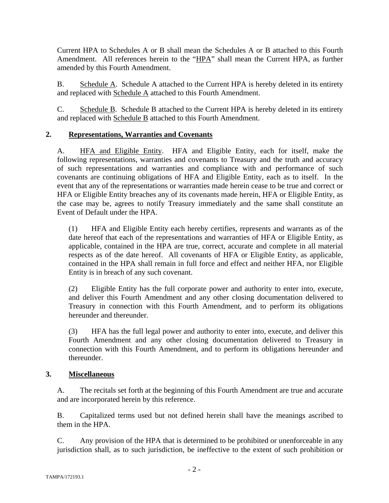Current HPA to Schedules A or B shall mean the Schedules A or B attached to this Fourth Amendment. All references herein to the "HPA" shall mean the Current HPA, as further amended by this Fourth Amendment.

B. Schedule A. Schedule A attached to the Current HPA is hereby deleted in its entirety and replaced with Schedule A attached to this Fourth Amendment.

C. Schedule B. Schedule B attached to the Current HPA is hereby deleted in its entirety and replaced with Schedule B attached to this Fourth Amendment.

# **2. Representations, Warranties and Covenants**

A. HFA and Eligible Entity. HFA and Eligible Entity, each for itself, make the following representations, warranties and covenants to Treasury and the truth and accuracy of such representations and warranties and compliance with and performance of such covenants are continuing obligations of HFA and Eligible Entity, each as to itself. In the event that any of the representations or warranties made herein cease to be true and correct or HFA or Eligible Entity breaches any of its covenants made herein, HFA or Eligible Entity, as the case may be, agrees to notify Treasury immediately and the same shall constitute an Event of Default under the HPA.

(1) HFA and Eligible Entity each hereby certifies, represents and warrants as of the date hereof that each of the representations and warranties of HFA or Eligible Entity, as applicable, contained in the HPA are true, correct, accurate and complete in all material respects as of the date hereof. All covenants of HFA or Eligible Entity, as applicable, contained in the HPA shall remain in full force and effect and neither HFA, nor Eligible Entity is in breach of any such covenant.

(2) Eligible Entity has the full corporate power and authority to enter into, execute, and deliver this Fourth Amendment and any other closing documentation delivered to Treasury in connection with this Fourth Amendment, and to perform its obligations hereunder and thereunder.

(3) HFA has the full legal power and authority to enter into, execute, and deliver this Fourth Amendment and any other closing documentation delivered to Treasury in connection with this Fourth Amendment, and to perform its obligations hereunder and thereunder.

## **3. Miscellaneous**

A. The recitals set forth at the beginning of this Fourth Amendment are true and accurate and are incorporated herein by this reference.

B. Capitalized terms used but not defined herein shall have the meanings ascribed to them in the HPA.

C. Any provision of the HPA that is determined to be prohibited or unenforceable in any jurisdiction shall, as to such jurisdiction, be ineffective to the extent of such prohibition or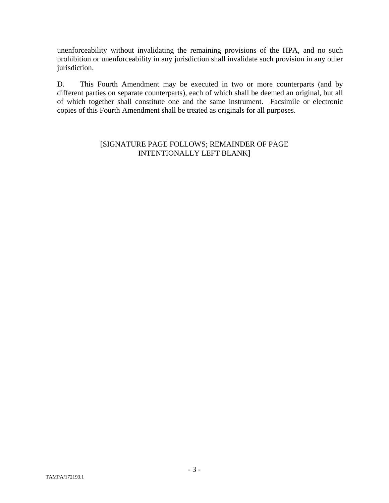unenforceability without invalidating the remaining provisions of the HPA, and no such prohibition or unenforceability in any jurisdiction shall invalidate such provision in any other jurisdiction.

D. This Fourth Amendment may be executed in two or more counterparts (and by different parties on separate counterparts), each of which shall be deemed an original, but all of which together shall constitute one and the same instrument. Facsimile or electronic copies of this Fourth Amendment shall be treated as originals for all purposes.

## [SIGNATURE PAGE FOLLOWS; REMAINDER OF PAGE INTENTIONALLY LEFT BLANK]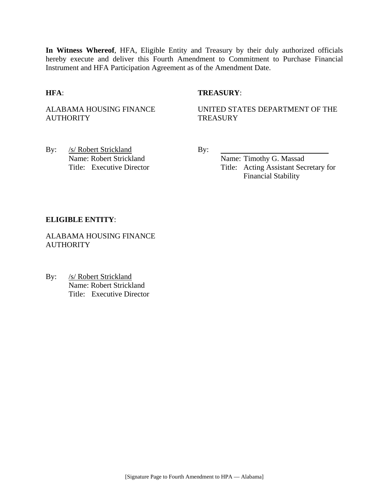**In Witness Whereof**, HFA, Eligible Entity and Treasury by their duly authorized officials hereby execute and deliver this Fourth Amendment to Commitment to Purchase Financial Instrument and HFA Participation Agreement as of the Amendment Date.

## **HFA**: **TREASURY**:

ALABAMA HOUSING FINANCE **AUTHORITY** 

UNITED STATES DEPARTMENT OF THE **TREASURY** 

By: /s/ Robert Strickland By: Name: Robert Strickland Name: Timothy G. Massad

Title: Executive Director Title: Acting Assistant Secretary for Financial Stability

### **ELIGIBLE ENTITY**:

ALABAMA HOUSING FINANCE **AUTHORITY** 

By: /s/ Robert Strickland Name: Robert Strickland Title: Executive Director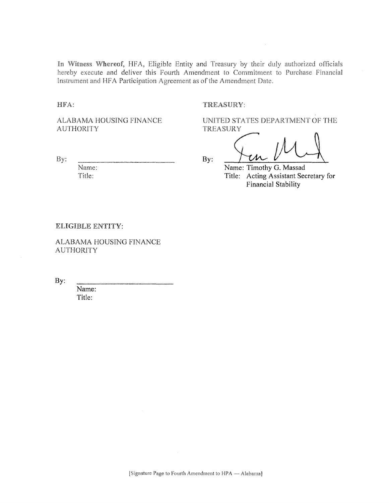In Witness Whereof, HFA, Eligible Entity and Treasury by their duly authorized officials hereby execute and deliver this Fourth Amendment to Commitment to Purchase Financial Instrument and HFA Participation Agreement as of the Amendment Date.

HFA:

#### TREASURY:

ALABAMA HOUSING FINANCE **AUTHORITY** 

By:

Name: Title:

UNITED STATES DEPARTMENT OF THE TREASURY

 $By:$ 

Name: Timothy G. Massad Title: Acting Assistant Secretary for Financial Stability

#### ELIGIBLE ENTITY:

ALABAMA HOUSING FINANCE **AUTHORITY** 

By:

Name: Title: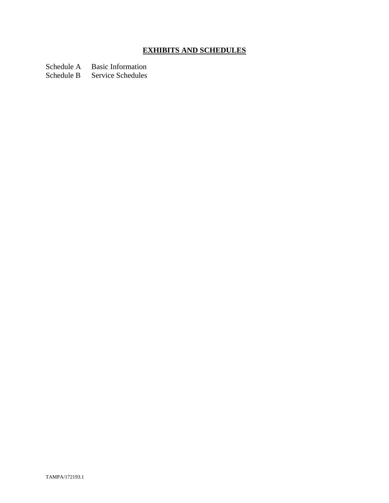# **EXHIBITS AND SCHEDULES**

Schedule A Basic Information

Schedule B Service Schedules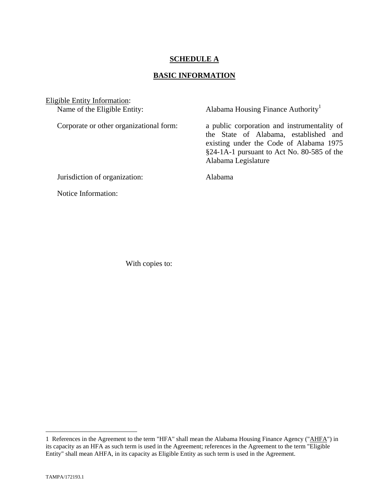## **SCHEDULE A**

## **BASIC INFORMATION**

Eligible Entity Information:<br>Name of the Eligible Entity:

Alabama Housing Finance Authority<sup>1</sup>

Corporate or other organizational form: a public corporation and instrumentality of the State of Alabama, established and existing under the Code of Alabama 1975 §24-1A-1 pursuant to Act No. 80-585 of the Alabama Legislature

Jurisdiction of organization: Alabama

Notice Information:

With copies to:

1

<sup>1</sup> References in the Agreement to the term "HFA" shall mean the Alabama Housing Finance Agency ("AHFA") in its capacity as an HFA as such term is used in the Agreement; references in the Agreement to the term "Eligible Entity" shall mean AHFA, in its capacity as Eligible Entity as such term is used in the Agreement.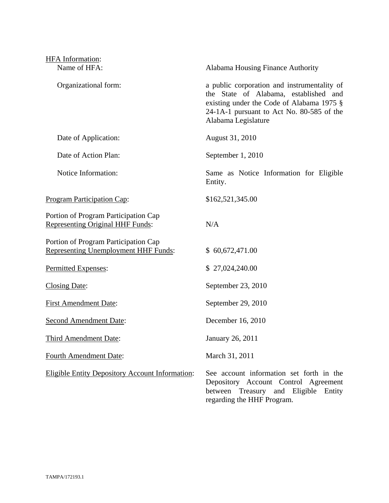| HFA Information:                                                                    |                                                                                                                                                                                                       |
|-------------------------------------------------------------------------------------|-------------------------------------------------------------------------------------------------------------------------------------------------------------------------------------------------------|
| Name of HFA:                                                                        | Alabama Housing Finance Authority                                                                                                                                                                     |
| Organizational form:                                                                | a public corporation and instrumentality of<br>the State of Alabama, established and<br>existing under the Code of Alabama 1975 §<br>24-1A-1 pursuant to Act No. 80-585 of the<br>Alabama Legislature |
| Date of Application:                                                                | August 31, 2010                                                                                                                                                                                       |
| Date of Action Plan:                                                                | September 1, 2010                                                                                                                                                                                     |
| Notice Information:                                                                 | Same as Notice Information for Eligible<br>Entity.                                                                                                                                                    |
| <b>Program Participation Cap:</b>                                                   | \$162,521,345.00                                                                                                                                                                                      |
| Portion of Program Participation Cap<br><b>Representing Original HHF Funds:</b>     | N/A                                                                                                                                                                                                   |
| Portion of Program Participation Cap<br><b>Representing Unemployment HHF Funds:</b> | \$60,672,471.00                                                                                                                                                                                       |
| Permitted Expenses:                                                                 | \$27,024,240.00                                                                                                                                                                                       |
| <b>Closing Date:</b>                                                                | September 23, 2010                                                                                                                                                                                    |
| <b>First Amendment Date:</b>                                                        | September 29, 2010                                                                                                                                                                                    |
| <b>Second Amendment Date:</b>                                                       | December 16, 2010                                                                                                                                                                                     |
| <b>Third Amendment Date:</b>                                                        | January 26, 2011                                                                                                                                                                                      |
| <b>Fourth Amendment Date:</b>                                                       | March 31, 2011                                                                                                                                                                                        |
| <b>Eligible Entity Depository Account Information:</b>                              | See account information set forth in the<br>Depository Account Control Agreement<br>between Treasury and Eligible Entity<br>regarding the HHF Program.                                                |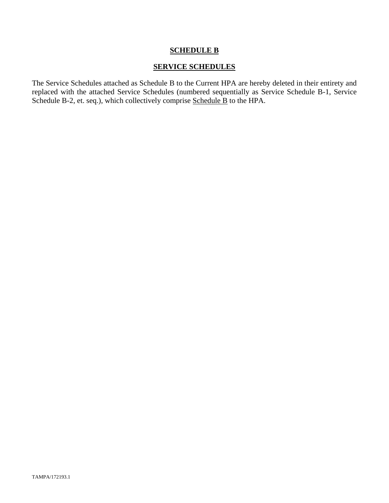## **SCHEDULE B**

## **SERVICE SCHEDULES**

The Service Schedules attached as Schedule B to the Current HPA are hereby deleted in their entirety and replaced with the attached Service Schedules (numbered sequentially as Service Schedule B-1, Service Schedule B-2, et. seq.), which collectively comprise Schedule B to the HPA.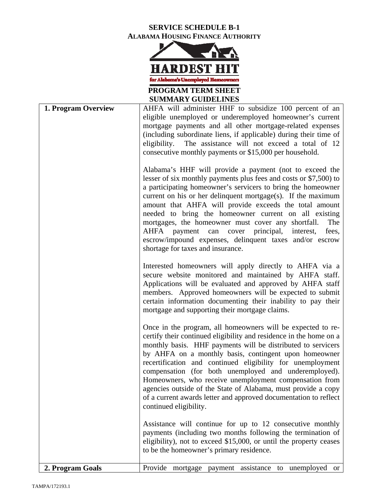# **SERVICE SCHEDULE B-1 ALABAMA HOUSING FINANCE AUTHORITY**



**SUMMARY GUIDELINES** 

| 1. Program Overview | AHFA will administer HHF to subsidize 100 percent of an                                                                                                                                                                                                                                                                                                                                                                                                                                                                                                                                                       |
|---------------------|---------------------------------------------------------------------------------------------------------------------------------------------------------------------------------------------------------------------------------------------------------------------------------------------------------------------------------------------------------------------------------------------------------------------------------------------------------------------------------------------------------------------------------------------------------------------------------------------------------------|
|                     | eligible unemployed or underemployed homeowner's current                                                                                                                                                                                                                                                                                                                                                                                                                                                                                                                                                      |
|                     | mortgage payments and all other mortgage-related expenses                                                                                                                                                                                                                                                                                                                                                                                                                                                                                                                                                     |
|                     | (including subordinate liens, if applicable) during their time of                                                                                                                                                                                                                                                                                                                                                                                                                                                                                                                                             |
|                     | eligibility.<br>The assistance will not exceed a total of 12                                                                                                                                                                                                                                                                                                                                                                                                                                                                                                                                                  |
|                     | consecutive monthly payments or \$15,000 per household.                                                                                                                                                                                                                                                                                                                                                                                                                                                                                                                                                       |
|                     | Alabama's HHF will provide a payment (not to exceed the<br>lesser of six monthly payments plus fees and costs or \$7,500) to<br>a participating homeowner's servicers to bring the homeowner<br>current on his or her delinquent mortgage(s). If the maximum<br>amount that AHFA will provide exceeds the total amount<br>needed to bring the homeowner current on all existing<br>mortgages, the homeowner must cover any shortfall.<br>The<br>AHFA<br>payment can cover<br>principal,<br>interest,<br>fees,<br>escrow/impound expenses, delinquent taxes and/or escrow<br>shortage for taxes and insurance. |
|                     | Interested homeowners will apply directly to AHFA via a<br>secure website monitored and maintained by AHFA staff.<br>Applications will be evaluated and approved by AHFA staff<br>members. Approved homeowners will be expected to submit<br>certain information documenting their inability to pay their<br>mortgage and supporting their mortgage claims.                                                                                                                                                                                                                                                   |
|                     | Once in the program, all homeowners will be expected to re-<br>certify their continued eligibility and residence in the home on a<br>monthly basis. HHF payments will be distributed to servicers<br>by AHFA on a monthly basis, contingent upon homeowner<br>recertification and continued eligibility for unemployment<br>compensation (for both unemployed and underemployed).<br>Homeowners, who receive unemployment compensation from<br>agencies outside of the State of Alabama, must provide a copy<br>of a current awards letter and approved documentation to reflect<br>continued eligibility.    |
|                     | Assistance will continue for up to 12 consecutive monthly<br>payments (including two months following the termination of<br>eligibility), not to exceed \$15,000, or until the property ceases<br>to be the homeowner's primary residence.                                                                                                                                                                                                                                                                                                                                                                    |
| 2. Program Goals    | Provide<br>mortgage payment assistance to unemployed<br><b>or</b>                                                                                                                                                                                                                                                                                                                                                                                                                                                                                                                                             |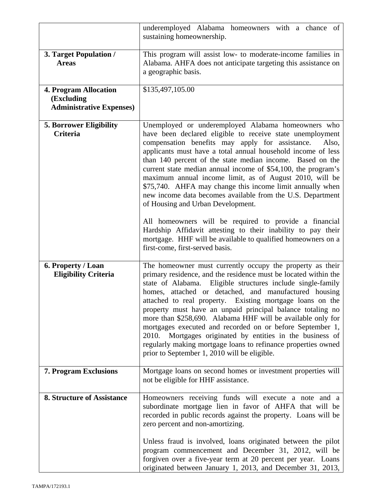|                                                                               | underemployed Alabama homeowners with a chance of<br>sustaining homeownership.                                                                                                                                                                                                                                                                                                                                                                                                                                                                                                                                                                                                                                                                                                                 |
|-------------------------------------------------------------------------------|------------------------------------------------------------------------------------------------------------------------------------------------------------------------------------------------------------------------------------------------------------------------------------------------------------------------------------------------------------------------------------------------------------------------------------------------------------------------------------------------------------------------------------------------------------------------------------------------------------------------------------------------------------------------------------------------------------------------------------------------------------------------------------------------|
| 3. Target Population /<br><b>Areas</b>                                        | This program will assist low- to moderate-income families in<br>Alabama. AHFA does not anticipate targeting this assistance on<br>a geographic basis.                                                                                                                                                                                                                                                                                                                                                                                                                                                                                                                                                                                                                                          |
| <b>4. Program Allocation</b><br>(Excluding<br><b>Administrative Expenses)</b> | \$135,497,105.00                                                                                                                                                                                                                                                                                                                                                                                                                                                                                                                                                                                                                                                                                                                                                                               |
| <b>5. Borrower Eligibility</b><br><b>Criteria</b>                             | Unemployed or underemployed Alabama homeowners who<br>have been declared eligible to receive state unemployment<br>compensation benefits may apply for assistance.<br>Also,<br>applicants must have a total annual household income of less<br>than 140 percent of the state median income. Based on the<br>current state median annual income of \$54,100, the program's<br>maximum annual income limit, as of August 2010, will be<br>\$75,740. AHFA may change this income limit annually when<br>new income data becomes available from the U.S. Department<br>of Housing and Urban Development.<br>All homeowners will be required to provide a financial<br>Hardship Affidavit attesting to their inability to pay their<br>mortgage. HHF will be available to qualified homeowners on a |
| 6. Property / Loan                                                            | first-come, first-served basis.<br>The homeowner must currently occupy the property as their                                                                                                                                                                                                                                                                                                                                                                                                                                                                                                                                                                                                                                                                                                   |
| <b>Eligibility Criteria</b>                                                   | primary residence, and the residence must be located within the<br>state of Alabama. Eligible structures include single-family<br>homes, attached or detached, and manufactured housing<br>attached to real property. Existing mortgage loans on the<br>property must have an unpaid principal balance totaling no<br>more than \$258,690. Alabama HHF will be available only for<br>mortgages executed and recorded on or before September 1,<br>2010.<br>Mortgages originated by entities in the business of<br>regularly making mortgage loans to refinance properties owned<br>prior to September 1, 2010 will be eligible.                                                                                                                                                                |
| 7. Program Exclusions                                                         | Mortgage loans on second homes or investment properties will<br>not be eligible for HHF assistance.                                                                                                                                                                                                                                                                                                                                                                                                                                                                                                                                                                                                                                                                                            |
| <b>8. Structure of Assistance</b>                                             | Homeowners receiving funds will execute a note and a<br>subordinate mortgage lien in favor of AHFA that will be<br>recorded in public records against the property. Loans will be<br>zero percent and non-amortizing.                                                                                                                                                                                                                                                                                                                                                                                                                                                                                                                                                                          |
|                                                                               | Unless fraud is involved, loans originated between the pilot<br>program commencement and December 31, 2012, will be<br>forgiven over a five-year term at 20 percent per year. Loans<br>originated between January 1, 2013, and December 31, 2013,                                                                                                                                                                                                                                                                                                                                                                                                                                                                                                                                              |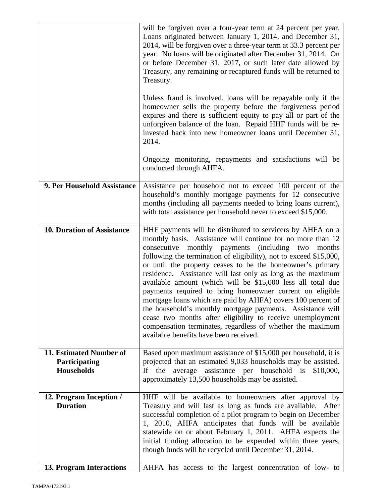|                                                               | will be forgiven over a four-year term at 24 percent per year.<br>Loans originated between January 1, 2014, and December 31,<br>2014, will be forgiven over a three-year term at 33.3 percent per<br>year. No loans will be originated after December 31, 2014. On<br>or before December 31, 2017, or such later date allowed by<br>Treasury, any remaining or recaptured funds will be returned to<br>Treasury.                                                                                                                                                                                                                                                                                                                                                                                                  |
|---------------------------------------------------------------|-------------------------------------------------------------------------------------------------------------------------------------------------------------------------------------------------------------------------------------------------------------------------------------------------------------------------------------------------------------------------------------------------------------------------------------------------------------------------------------------------------------------------------------------------------------------------------------------------------------------------------------------------------------------------------------------------------------------------------------------------------------------------------------------------------------------|
|                                                               | Unless fraud is involved, loans will be repayable only if the<br>homeowner sells the property before the forgiveness period<br>expires and there is sufficient equity to pay all or part of the<br>unforgiven balance of the loan. Repaid HHF funds will be re-<br>invested back into new homeowner loans until December 31,<br>2014.                                                                                                                                                                                                                                                                                                                                                                                                                                                                             |
|                                                               | Ongoing monitoring, repayments and satisfactions will be<br>conducted through AHFA.                                                                                                                                                                                                                                                                                                                                                                                                                                                                                                                                                                                                                                                                                                                               |
| 9. Per Household Assistance                                   | Assistance per household not to exceed 100 percent of the<br>household's monthly mortgage payments for 12 consecutive<br>months (including all payments needed to bring loans current),<br>with total assistance per household never to exceed \$15,000.                                                                                                                                                                                                                                                                                                                                                                                                                                                                                                                                                          |
| <b>10. Duration of Assistance</b>                             | HHF payments will be distributed to servicers by AHFA on a<br>monthly basis. Assistance will continue for no more than 12<br>consecutive monthly payments (including two months<br>following the termination of eligibility), not to exceed \$15,000,<br>or until the property ceases to be the homeowner's primary<br>residence. Assistance will last only as long as the maximum<br>available amount (which will be \$15,000 less all total due<br>payments required to bring homeowner current on eligible<br>mortgage loans which are paid by AHFA) covers 100 percent of<br>the household's monthly mortgage payments. Assistance will<br>cease two months after eligibility to receive unemployment<br>compensation terminates, regardless of whether the maximum<br>available benefits have been received. |
| 11. Estimated Number of<br>Participating<br><b>Households</b> | Based upon maximum assistance of \$15,000 per household, it is<br>projected that an estimated 9,033 households may be assisted.<br>If<br>the<br>average<br>assistance per household is<br>\$10,000,<br>approximately 13,500 households may be assisted.                                                                                                                                                                                                                                                                                                                                                                                                                                                                                                                                                           |
| 12. Program Inception /<br><b>Duration</b>                    | HHF will be available to homeowners after approval by<br>Treasury and will last as long as funds are available. After<br>successful completion of a pilot program to begin on December<br>1, 2010, AHFA anticipates that funds will be available<br>statewide on or about February 1, 2011. AHFA expects the<br>initial funding allocation to be expended within three years,<br>though funds will be recycled until December 31, 2014.                                                                                                                                                                                                                                                                                                                                                                           |
| <b>13. Program Interactions</b>                               | AHFA has access to the largest concentration of low- to                                                                                                                                                                                                                                                                                                                                                                                                                                                                                                                                                                                                                                                                                                                                                           |